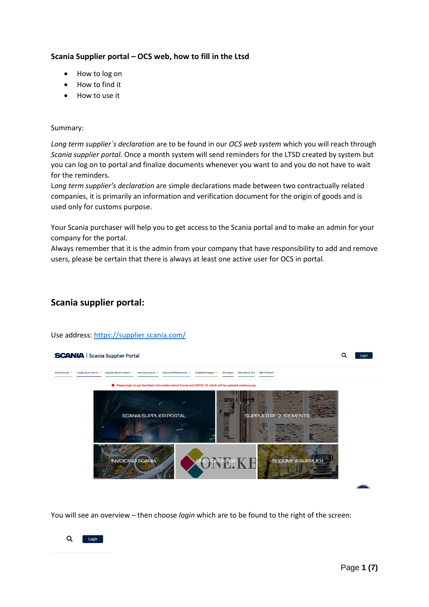## **Scania Supplier portal – OCS web, how to fill in the Ltsd**

- How to log on
- How to find it
- How to use it

### Summary:

*Long term supplier´s declaration* are to be found in our *OCS web system* which you will reach through *Scania supplier portal*. Once a month system will send reminders for the LTSD created by system but you can log on to portal and finalize documents whenever you want to and you do not have to wait for the reminders.

L*ong term supplier's declaration* are simple declarations made between two contractually related companies, it is primarily an information and verification document for the origin of goods and is used only for customs purpose.

Your Scania purchaser will help you to get access to the Scania portal and to make an admin for your company for the portal.

Always remember that it is the admin from your company that have responsibility to add and remove users, please be certain that there is always at least one active user for OCS in portal.

## **Scania supplier portal:**

Use address:<https://supplier.scania.com/>



You will see an overview – then choose *login* which are to be found to the right of the screen:

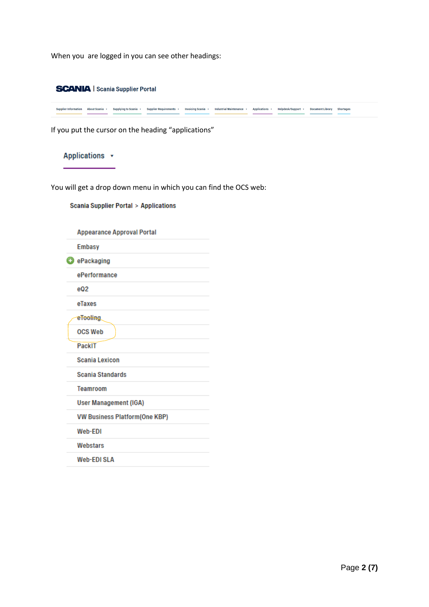When you are logged in you can see other headings:



Supplier Information About Scania · Supplying to Scania · Supplier Requirements · Invoicing Scania · Industrial Maintenance · Applications · Helpdesk/Support · Document Library Shortages

If you put the cursor on the heading "applications"

# Applications +

You will get a drop down menu in which you can find the OCS web:

**Scania Supplier Portal > Applications** 

| <b>Appearance Approval Portal</b>    |
|--------------------------------------|
| <b>Embasy</b>                        |
| <b>O</b> ePackaging                  |
| ePerformance                         |
| eQ <sub>2</sub>                      |
| eTaxes                               |
| eTooling.                            |
| <b>OCS Web</b>                       |
| PackIT                               |
| <b>Scania Lexicon</b>                |
| <b>Scania Standards</b>              |
| Teamroom                             |
| <b>User Management (IGA)</b>         |
| <b>VW Business Platform(One KBP)</b> |
| Web-EDI                              |
| Webstars                             |
| Web-EDI SLA                          |
|                                      |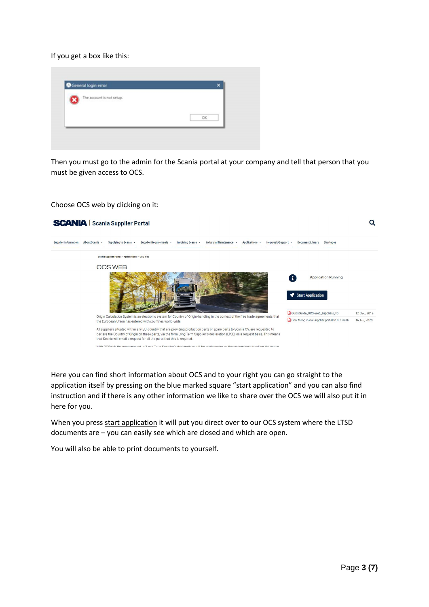If you get a box like this:



Then you must go to the admin for the Scania portal at your company and tell that person that you must be given access to OCS.

Choose OCS web by clicking on it:



Here you can find short information about OCS and to your right you can go straight to the application itself by pressing on the blue marked square "start application" and you can also find instruction and if there is any other information we like to share over the OCS we will also put it in here for you.

When you press start application it will put you direct over to our OCS system where the LTSD documents are – you can easily see which are closed and which are open.

You will also be able to print documents to yourself.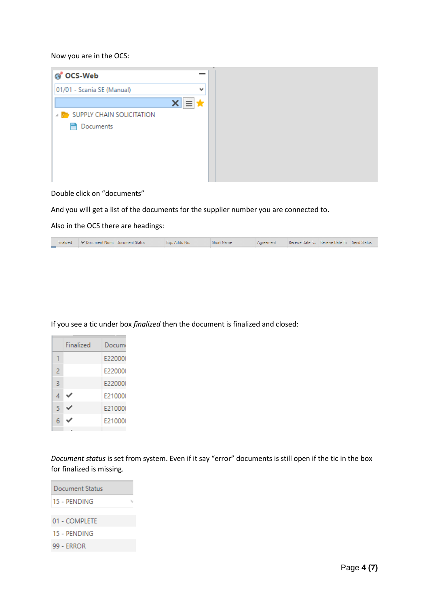### Now you are in the OCS:



Double click on "documents"

And you will get a list of the documents for the supplier number you are connected to.

Also in the OCS there are headings:

| Finalized | ■ ■ ■ Document Numl Document Status | Exp. Addr. No. | <b>Short Name</b> | Agreement | Receive Date F Receive Date To Send Status |  |
|-----------|-------------------------------------|----------------|-------------------|-----------|--------------------------------------------|--|
|           |                                     |                |                   |           |                                            |  |

| If you see a tic under box finalized then the document is finalized and closed: |  |
|---------------------------------------------------------------------------------|--|
|---------------------------------------------------------------------------------|--|

|   | Finalized | Documi  |
|---|-----------|---------|
|   |           | E22000( |
| 2 |           | F220000 |
| 3 |           | F220000 |
| 4 |           | F210000 |
| 5 |           | E210000 |
| 6 |           | E210000 |
|   |           |         |

*Document status* is set from system. Even if it say "error" documents is still open if the tic in the box for finalized is missing.

| Document Status |  |  |
|-----------------|--|--|
| 15 - PENDING    |  |  |
| 01 - COMPLETE   |  |  |
| 15 - PENDING    |  |  |
| 99 - ERROR      |  |  |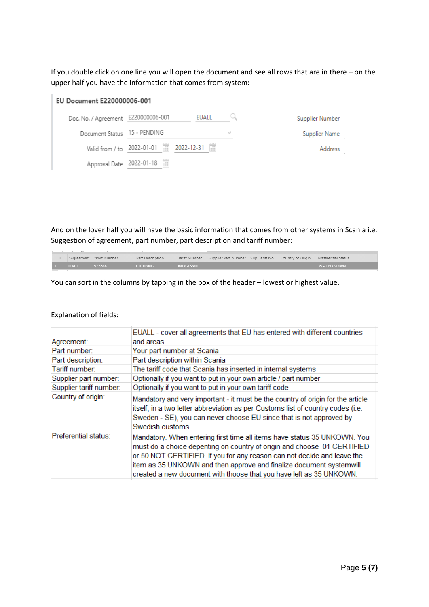If you double click on one line you will open the document and see all rows that are in there – on the upper half you have the information that comes from system:

| EU Document E220000006-001          |                                       |              |   |                 |  |  |
|-------------------------------------|---------------------------------------|--------------|---|-----------------|--|--|
| Doc. No. / Agreement E220000006-001 |                                       | <b>EUALL</b> |   | Supplier Number |  |  |
| Document Status 15 - PENDING        |                                       |              | v | Supplier Name   |  |  |
|                                     | Valid from / to 2022-01-01 2022-12-31 |              |   | Address         |  |  |
| Approval Date 2022-01-18            | H                                     |              |   |                 |  |  |

And on the lover half you will have the basic information that comes from other systems in Scania i.e. Suggestion of agreement, part number, part description and tariff number:

|  |              | Agreement   *Part Number | Part Description  |            | Tariff Number Supplier Part Number Sup. Tariff No. Country of Origin Preferential Status |  |              |
|--|--------------|--------------------------|-------------------|------------|------------------------------------------------------------------------------------------|--|--------------|
|  | <b>EUALL</b> | 572688                   | <b>EXCHANGE E</b> | 8408209900 |                                                                                          |  | 35 - UNKNOWN |

You can sort in the columns by tapping in the box of the header – lowest or highest value.

### Explanation of fields:

| Agreement:              | EUALL - cover all agreements that EU has entered with different countries<br>and areas                                                                                                                                                                                                                                                                                       |
|-------------------------|------------------------------------------------------------------------------------------------------------------------------------------------------------------------------------------------------------------------------------------------------------------------------------------------------------------------------------------------------------------------------|
| Part number:            | Your part number at Scania                                                                                                                                                                                                                                                                                                                                                   |
| Part description:       | Part description within Scania                                                                                                                                                                                                                                                                                                                                               |
| Tariff number:          | The tariff code that Scania has inserted in internal systems                                                                                                                                                                                                                                                                                                                 |
| Supplier part number:   | Optionally if you want to put in your own article / part number                                                                                                                                                                                                                                                                                                              |
| Supplier tariff number: | Optionally if you want to put in your own tariff code                                                                                                                                                                                                                                                                                                                        |
| Country of origin:      | Mandatory and very important - it must be the country of origin for the article<br>itself, in a two letter abbreviation as per Customs list of country codes (i.e.<br>Sweden - SE), you can never choose EU since that is not approved by<br>Swedish customs.                                                                                                                |
| Preferential status:    | Mandatory. When entering first time all items have status 35 UNKOWN. You<br>must do a choice depenting on country of origin and choose 01 CERTIFIED<br>or 50 NOT CERTIFIED. If you for any reason can not decide and leave the<br>item as 35 UNKOWN and then approve and finalize document systemwill<br>created a new document with thoose that you have left as 35 UNKOWN. |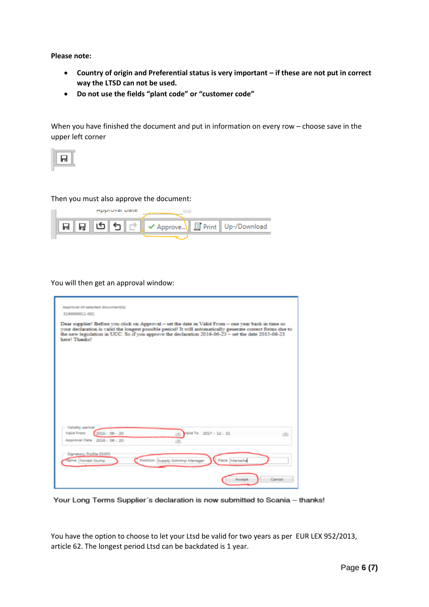**Please note:** 

- **Country of origin and Preferential status is very important – if these are not put in correct way the LTSD can not be used.**
- **Do not use the fields "plant code" or "customer code"**

When you have finished the document and put in information on every row – choose save in the upper left corner



#### Then you must also approve the document:



#### You will then get an approval window:

| Approval of selected document(s):<br>E160000011-001                                                                                                                                                                                                                                                                                          |
|----------------------------------------------------------------------------------------------------------------------------------------------------------------------------------------------------------------------------------------------------------------------------------------------------------------------------------------------|
| Dear supplier! Before you click on Approval - set the date in Valid From - one year back in time so<br>your declaration is valid the longest possible period! It will automatically generate correct forms due to<br>the new legislation in UCC. So if you approve the declaration $2016-06-23$ – set the date $2015-06-23$<br>here! Thanks! |
|                                                                                                                                                                                                                                                                                                                                              |
|                                                                                                                                                                                                                                                                                                                                              |
|                                                                                                                                                                                                                                                                                                                                              |
|                                                                                                                                                                                                                                                                                                                                              |
| Validity period                                                                                                                                                                                                                                                                                                                              |
| Valid From<br>$2015 - 06 - 20$<br>Valid To 2017 - 12 - 31<br>Approval Date 2016 - 06 - 20                                                                                                                                                                                                                                                    |
| Signatory Profile 03303<br>Place Marseille<br>Position Supply Schrimp Manager<br><b>Name Forrest Gump</b>                                                                                                                                                                                                                                    |
| Cancell<br>Accept                                                                                                                                                                                                                                                                                                                            |

Your Long Terms Supplier's declaration is now submitted to Scania - thanks!

You have the option to choose to let your Ltsd be valid for two years as per EUR LEX 952/2013, article 62. The longest period Ltsd can be backdated is 1 year.